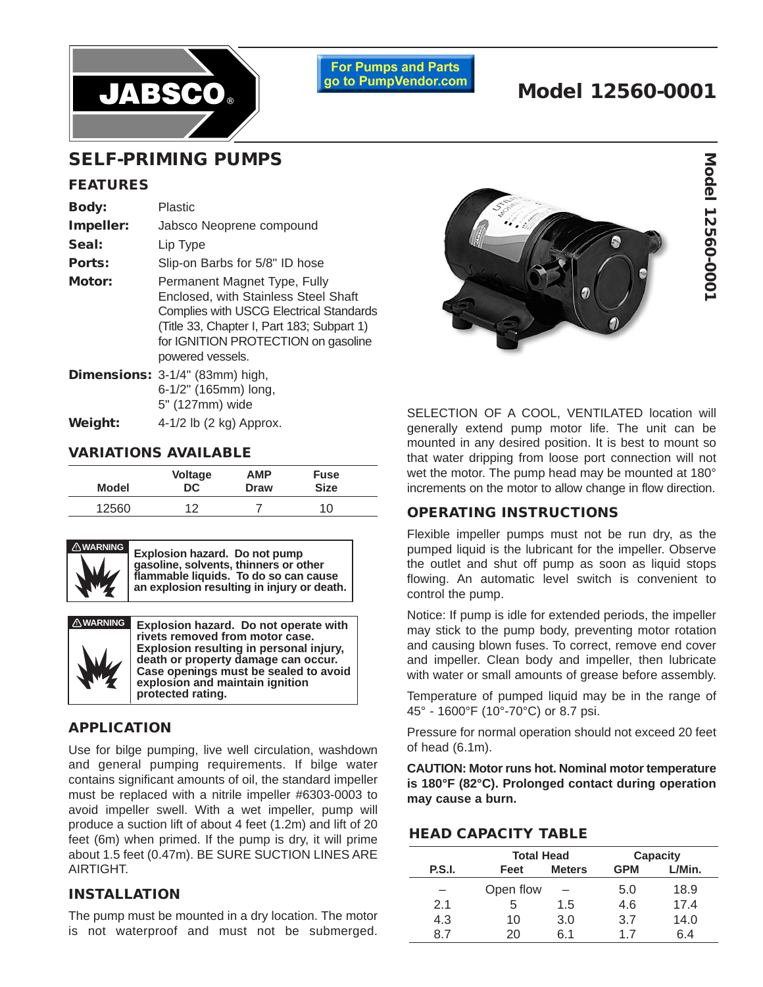

**For Pumps and Parts** go to PumpVendor.com

# **Model 12560-0001**

## **SELF-PRIMING PUMPS**

#### **FEATURES**

| <b>Body:</b><br>Impeller:<br>Seal:<br>Ports: | <b>Plastic</b><br>Jabsco Neoprene compound<br>Lip Type<br>Slip-on Barbs for 5/8" ID hose                                                                                                                                        |
|----------------------------------------------|---------------------------------------------------------------------------------------------------------------------------------------------------------------------------------------------------------------------------------|
| Motor:                                       | Permanent Magnet Type, Fully<br>Enclosed, with Stainless Steel Shaft<br><b>Complies with USCG Electrical Standards</b><br>(Title 33, Chapter I, Part 183; Subpart 1)<br>for IGNITION PROTECTION on gasoline<br>powered vessels. |
|                                              | Dimensions: 3-1/4" (83mm) high,<br>6-1/2" (165mm) long,<br>5" (127mm) wide                                                                                                                                                      |

**Weight:** 4-1/2 lb (2 kg) Approx.

## **VARIATIONS AVAILABLE**

| Model | <b>Voltage</b> | <b>AMP</b>  | <b>Fuse</b> |
|-------|----------------|-------------|-------------|
|       | DC             | <b>Draw</b> | <b>Size</b> |
| 12560 | ィっ             |             | 10          |



**! WARNING Explosion hazard. Do not pump gasoline, solvents, thinners or other flammable liquids. To do so can cause an explosion resulting in injury or death.**



**Explosion hazard. Do not operate with rivets removed from motor case. Explosion resulting in personal injury, death or property damage can occur. Case openings must be sealed to avoid explosion and maintain ignition protected rating.**

## **APPLICATION**

Use for bilge pumping, live well circulation, washdown and general pumping requirements. If bilge water contains significant amounts of oil, the standard impeller must be replaced with a nitrile impeller #6303-0003 to avoid impeller swell. With a wet impeller, pump will produce a suction lift of about 4 feet (1.2m) and lift of 20 feet (6m) when primed. If the pump is dry, it will prime about 1.5 feet (0.47m). BE SURE SUCTION LINES ARE AIRTIGHT.

#### **INSTALLATION**

The pump must be mounted in a dry location. The motor is not waterproof and must not be submerged.



SELECTION OF A COOL, VENTILATED location will generally extend pump motor life. The unit can be mounted in any desired position. It is best to mount so that water dripping from loose port connection will not wet the motor. The pump head may be mounted at 180° increments on the motor to allow change in flow direction.

## **OPERATING INSTRUCTIONS**

Flexible impeller pumps must not be run dry, as the pumped liquid is the lubricant for the impeller. Observe the outlet and shut off pump as soon as liquid stops flowing. An automatic level switch is convenient to control the pump.

Notice: If pump is idle for extended periods, the impeller may stick to the pump body, preventing motor rotation and causing blown fuses. To correct, remove end cover and impeller. Clean body and impeller, then lubricate with water or small amounts of grease before assembly.

Temperature of pumped liquid may be in the range of 45° - 1600°F (10°-70°C) or 8.7 psi.

Pressure for normal operation should not exceed 20 feet of head (6.1m).

**CAUTION: Motor runs hot. Nominal motor temperature is 180°F (82°C). Prolonged contact during operation may cause a burn.**

### **HEAD CAPACITY TABLE**

|               |           | <b>Total Head</b> |            | Capacity |  |
|---------------|-----------|-------------------|------------|----------|--|
| <b>P.S.I.</b> | Feet      | <b>Meters</b>     | <b>GPM</b> | L/Min.   |  |
|               | Open flow |                   | 5.0        | 18.9     |  |
| 2.1           | 5         | 1.5               | 4.6        | 17.4     |  |
| 4.3           | 10        | 3.0               | 3.7        | 14.0     |  |
| 87            | 20        | 6 1               | 17         | հ 4      |  |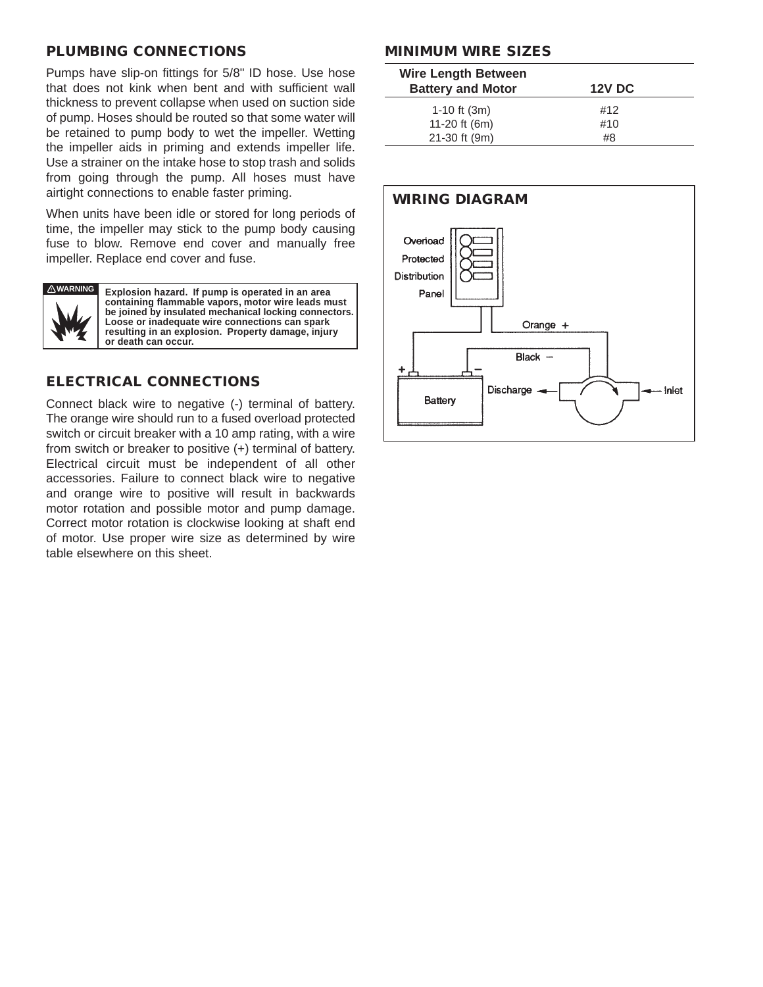## **PLUMBING CONNECTIONS**

Pumps have slip-on fittings for 5/8" ID hose. Use hose that does not kink when bent and with sufficient wall thickness to prevent collapse when used on suction side of pump. Hoses should be routed so that some water will be retained to pump body to wet the impeller. Wetting the impeller aids in priming and extends impeller life. Use a strainer on the intake hose to stop trash and solids from going through the pump. All hoses must have airtight connections to enable faster priming.

When units have been idle or stored for long periods of time, the impeller may stick to the pump body causing fuse to blow. Remove end cover and manually free impeller. Replace end cover and fuse.



**Explosion hazard. If pump is operated in an area containing flammable vapors, motor wire leads must be joined by insulated mechanical locking connectors. Loose or inadequate wire connections can spark resulting in an explosion. Property damage, injury or death can occur.**

## **ELECTRICAL CONNECTIONS**

Connect black wire to negative (-) terminal of battery. The orange wire should run to a fused overload protected switch or circuit breaker with a 10 amp rating, with a wire from switch or breaker to positive (+) terminal of battery. Electrical circuit must be independent of all other accessories. Failure to connect black wire to negative and orange wire to positive will result in backwards motor rotation and possible motor and pump damage. Correct motor rotation is clockwise looking at shaft end of motor. Use proper wire size as determined by wire table elsewhere on this sheet.

### **MINIMUM WIRE SIZES**

| <b>Wire Length Between</b><br><b>Battery and Motor</b> | <b>12V DC</b> |  |
|--------------------------------------------------------|---------------|--|
| 1-10 ft $(3m)$                                         | #12           |  |
| 11-20 ft (6m)                                          | #10           |  |
| 21-30 ft (9m)                                          | #8            |  |

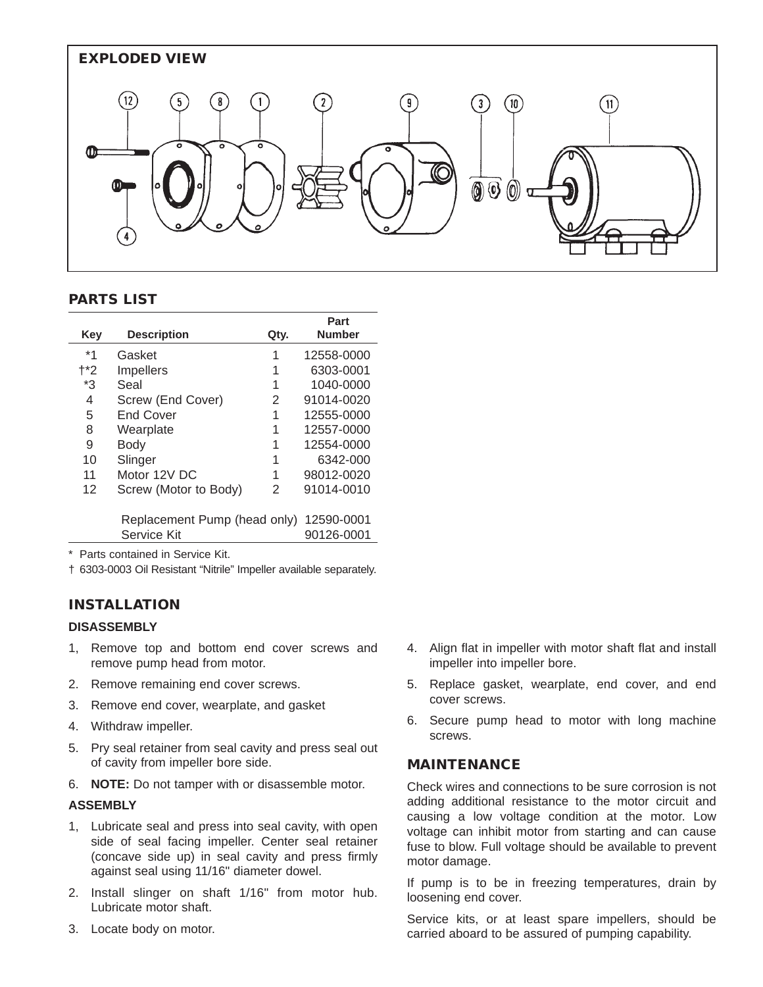

**Part**

### **PARTS LIST**

|                              |                       |      | rart          |
|------------------------------|-----------------------|------|---------------|
| Key                          | <b>Description</b>    | Qty. | <b>Number</b> |
| *1                           | Gasket                | 1    | 12558-0000    |
| †*2                          | <b>Impellers</b>      | 1    | 6303-0001     |
| *3                           | Seal                  | 1    | 1040-0000     |
| 4                            | Screw (End Cover)     | 2    | 91014-0020    |
| 5                            | <b>End Cover</b>      | 1    | 12555-0000    |
| 8                            | Wearplate             | 1    | 12557-0000    |
| 9                            | Body                  | 1    | 12554-0000    |
| 10                           | Slinger               | 1    | 6342-000      |
| 11                           | Motor 12V DC          | 1    | 98012-0020    |
| 12                           | Screw (Motor to Body) | 2    | 91014-0010    |
|                              |                       |      |               |
| Replacement Pump (head only) |                       |      | 12590-0001    |
|                              | Service Kit           |      | 90126-0001    |
|                              |                       |      |               |

\* Parts contained in Service Kit.

† 6303-0003 Oil Resistant "Nitrile" Impeller available separately.

#### **INSTALLATION**

#### **DISASSEMBLY**

- 1, Remove top and bottom end cover screws and remove pump head from motor.
- 2. Remove remaining end cover screws.
- 3. Remove end cover, wearplate, and gasket
- 4. Withdraw impeller.
- 5. Pry seal retainer from seal cavity and press seal out of cavity from impeller bore side.
- 6. **NOTE:** Do not tamper with or disassemble motor.

#### **ASSEMBLY**

- 1, Lubricate seal and press into seal cavity, with open side of seal facing impeller. Center seal retainer (concave side up) in seal cavity and press firmly against seal using 11/16" diameter dowel.
- 2. Install slinger on shaft 1/16" from motor hub. Lubricate motor shaft.
- 3. Locate body on motor.
- 4. Align flat in impeller with motor shaft flat and install impeller into impeller bore.
- 5. Replace gasket, wearplate, end cover, and end cover screws.
- 6. Secure pump head to motor with long machine screws.

#### **MAINTENANCE**

Check wires and connections to be sure corrosion is not adding additional resistance to the motor circuit and causing a low voltage condition at the motor. Low voltage can inhibit motor from starting and can cause fuse to blow. Full voltage should be available to prevent motor damage.

If pump is to be in freezing temperatures, drain by loosening end cover.

Service kits, or at least spare impellers, should be carried aboard to be assured of pumping capability.